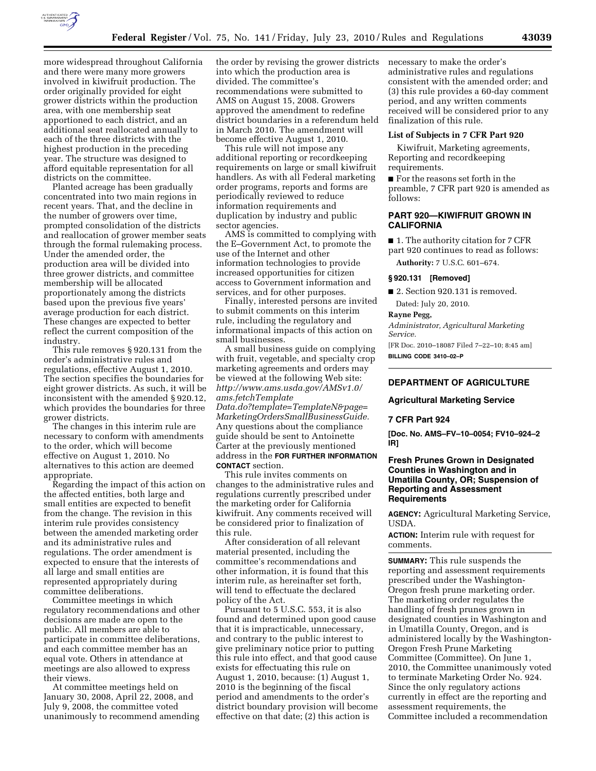

more widespread throughout California and there were many more growers involved in kiwifruit production. The order originally provided for eight grower districts within the production area, with one membership seat apportioned to each district, and an additional seat reallocated annually to each of the three districts with the highest production in the preceding year. The structure was designed to afford equitable representation for all districts on the committee.

Planted acreage has been gradually concentrated into two main regions in recent years. That, and the decline in the number of growers over time, prompted consolidation of the districts and reallocation of grower member seats through the formal rulemaking process. Under the amended order, the production area will be divided into three grower districts, and committee membership will be allocated proportionately among the districts based upon the previous five years' average production for each district. These changes are expected to better reflect the current composition of the industry.

This rule removes § 920.131 from the order's administrative rules and regulations, effective August 1, 2010. The section specifies the boundaries for eight grower districts. As such, it will be inconsistent with the amended § 920.12, which provides the boundaries for three grower districts.

The changes in this interim rule are necessary to conform with amendments to the order, which will become effective on August 1, 2010. No alternatives to this action are deemed appropriate.

Regarding the impact of this action on the affected entities, both large and small entities are expected to benefit from the change. The revision in this interim rule provides consistency between the amended marketing order and its administrative rules and regulations. The order amendment is expected to ensure that the interests of all large and small entities are represented appropriately during committee deliberations.

Committee meetings in which regulatory recommendations and other decisions are made are open to the public. All members are able to participate in committee deliberations, and each committee member has an equal vote. Others in attendance at meetings are also allowed to express their views.

At committee meetings held on January 30, 2008, April 22, 2008, and July 9, 2008, the committee voted unanimously to recommend amending the order by revising the grower districts into which the production area is divided. The committee's recommendations were submitted to AMS on August 15, 2008. Growers approved the amendment to redefine district boundaries in a referendum held in March 2010. The amendment will become effective August 1, 2010.

This rule will not impose any additional reporting or recordkeeping requirements on large or small kiwifruit handlers. As with all Federal marketing order programs, reports and forms are periodically reviewed to reduce information requirements and duplication by industry and public sector agencies.

AMS is committed to complying with the E–Government Act, to promote the use of the Internet and other information technologies to provide increased opportunities for citizen access to Government information and services, and for other purposes.

Finally, interested persons are invited to submit comments on this interim rule, including the regulatory and informational impacts of this action on small businesses.

A small business guide on complying with fruit, vegetable, and specialty crop marketing agreements and orders may be viewed at the following Web site: *[http://www.ams.usda.gov/AMSv1.0/](http://www.ams.usda.gov/AMSv1.0/ams.fetchTemplateData.do?template=TemplateN&page=MarketingOrdersSmallBusinessGuide) [ams.fetchTemplate](http://www.ams.usda.gov/AMSv1.0/ams.fetchTemplateData.do?template=TemplateN&page=MarketingOrdersSmallBusinessGuide) [Data.do?template=TemplateN&page=](http://www.ams.usda.gov/AMSv1.0/ams.fetchTemplateData.do?template=TemplateN&page=MarketingOrdersSmallBusinessGuide) [MarketingOrdersSmallBusinessGuide.](http://www.ams.usda.gov/AMSv1.0/ams.fetchTemplateData.do?template=TemplateN&page=MarketingOrdersSmallBusinessGuide)*  Any questions about the compliance

guide should be sent to Antoinette Carter at the previously mentioned address in the **FOR FURTHER INFORMATION CONTACT** section.

This rule invites comments on changes to the administrative rules and regulations currently prescribed under the marketing order for California kiwifruit. Any comments received will be considered prior to finalization of this rule.

After consideration of all relevant material presented, including the committee's recommendations and other information, it is found that this interim rule, as hereinafter set forth, will tend to effectuate the declared policy of the Act.

Pursuant to 5 U.S.C. 553, it is also found and determined upon good cause that it is impracticable, unnecessary, and contrary to the public interest to give preliminary notice prior to putting this rule into effect, and that good cause exists for effectuating this rule on August 1, 2010, because: (1) August 1, 2010 is the beginning of the fiscal period and amendments to the order's district boundary provision will become effective on that date; (2) this action is

necessary to make the order's administrative rules and regulations consistent with the amended order; and (3) this rule provides a 60-day comment period, and any written comments received will be considered prior to any finalization of this rule.

#### **List of Subjects in 7 CFR Part 920**

Kiwifruit, Marketing agreements, Reporting and recordkeeping requirements.

■ For the reasons set forth in the preamble, 7 CFR part 920 is amended as follows:

## **PART 920—KIWIFRUIT GROWN IN CALIFORNIA**

■ 1. The authority citation for 7 CFR part 920 continues to read as follows:

**Authority:** 7 U.S.C. 601–674.

#### **§ 920.131 [Removed]**

■ 2. Section 920.131 is removed.

Dated: July 20, 2010.

**Rayne Pegg,** 

*Administrator, Agricultural Marketing Service.* 

[FR Doc. 2010–18087 Filed 7–22–10; 8:45 am] **BILLING CODE 3410–02–P** 

# **DEPARTMENT OF AGRICULTURE**

**Agricultural Marketing Service** 

## **7 CFR Part 924**

**[Doc. No. AMS–FV–10–0054; FV10–924–2 IR]** 

## **Fresh Prunes Grown in Designated Counties in Washington and in Umatilla County, OR; Suspension of Reporting and Assessment Requirements**

**AGENCY:** Agricultural Marketing Service, USDA.

**ACTION:** Interim rule with request for comments.

**SUMMARY:** This rule suspends the reporting and assessment requirements prescribed under the Washington-Oregon fresh prune marketing order. The marketing order regulates the handling of fresh prunes grown in designated counties in Washington and in Umatilla County, Oregon, and is administered locally by the Washington-Oregon Fresh Prune Marketing Committee (Committee). On June 1, 2010, the Committee unanimously voted to terminate Marketing Order No. 924. Since the only regulatory actions currently in effect are the reporting and assessment requirements, the Committee included a recommendation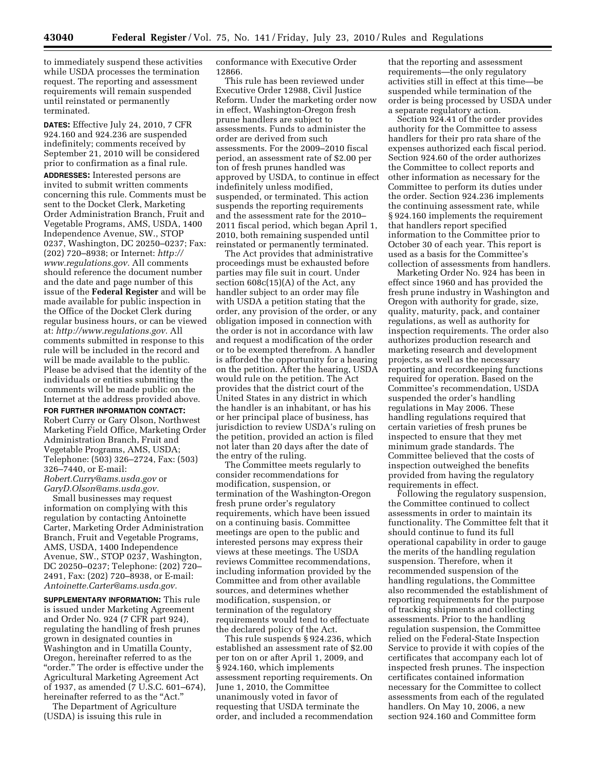to immediately suspend these activities while USDA processes the termination request. The reporting and assessment requirements will remain suspended until reinstated or permanently terminated.

**DATES:** Effective July 24, 2010, 7 CFR 924.160 and 924.236 are suspended indefinitely; comments received by September 21, 2010 will be considered prior to confirmation as a final rule.

**ADDRESSES:** Interested persons are invited to submit written comments concerning this rule. Comments must be sent to the Docket Clerk, Marketing Order Administration Branch, Fruit and Vegetable Programs, AMS, USDA, 1400 Independence Avenue, SW., STOP 0237, Washington, DC 20250–0237; Fax: (202) 720–8938; or Internet: *[http://](http://www.regulations.gov) [www.regulations.gov.](http://www.regulations.gov)* All comments should reference the document number and the date and page number of this issue of the **Federal Register** and will be made available for public inspection in the Office of the Docket Clerk during regular business hours, or can be viewed at: *[http://www.regulations.gov.](http://www.regulations.gov)* All comments submitted in response to this rule will be included in the record and will be made available to the public. Please be advised that the identity of the individuals or entities submitting the comments will be made public on the Internet at the address provided above.

## **FOR FURTHER INFORMATION CONTACT:**

Robert Curry or Gary Olson, Northwest Marketing Field Office, Marketing Order Administration Branch, Fruit and Vegetable Programs, AMS, USDA; Telephone: (503) 326–2724, Fax: (503) 326–7440, or E-mail: *[Robert.Curry@ams.usda.gov](mailto:Robert.Curry@ams.usda.gov)* or *[GaryD.Olson@ams.usda.gov.](mailto:GaryD.Olson@ams.usda.gov)* 

Small businesses may request information on complying with this regulation by contacting Antoinette Carter, Marketing Order Administration Branch, Fruit and Vegetable Programs, AMS, USDA, 1400 Independence Avenue, SW., STOP 0237, Washington, DC 20250–0237; Telephone: (202) 720– 2491, Fax: (202) 720–8938, or E-mail: *[Antoinette.Carter@ams.usda.gov.](mailto:Antoinette.Carter@ams.usda.gov)* 

**SUPPLEMENTARY INFORMATION:** This rule is issued under Marketing Agreement and Order No. 924 (7 CFR part 924), regulating the handling of fresh prunes grown in designated counties in Washington and in Umatilla County, Oregon, hereinafter referred to as the "order." The order is effective under the Agricultural Marketing Agreement Act of 1937, as amended (7 U.S.C. 601–674), hereinafter referred to as the "Act."

The Department of Agriculture (USDA) is issuing this rule in

conformance with Executive Order 12866.

This rule has been reviewed under Executive Order 12988, Civil Justice Reform. Under the marketing order now in effect, Washington-Oregon fresh prune handlers are subject to assessments. Funds to administer the order are derived from such assessments. For the 2009–2010 fiscal period, an assessment rate of \$2.00 per ton of fresh prunes handled was approved by USDA, to continue in effect indefinitely unless modified, suspended, or terminated. This action suspends the reporting requirements and the assessment rate for the 2010– 2011 fiscal period, which began April 1, 2010, both remaining suspended until reinstated or permanently terminated.

The Act provides that administrative proceedings must be exhausted before parties may file suit in court. Under section 608c(15)(A) of the Act, any handler subject to an order may file with USDA a petition stating that the order, any provision of the order, or any obligation imposed in connection with the order is not in accordance with law and request a modification of the order or to be exempted therefrom. A handler is afforded the opportunity for a hearing on the petition. After the hearing, USDA would rule on the petition. The Act provides that the district court of the United States in any district in which the handler is an inhabitant, or has his or her principal place of business, has jurisdiction to review USDA's ruling on the petition, provided an action is filed not later than 20 days after the date of the entry of the ruling.

The Committee meets regularly to consider recommendations for modification, suspension, or termination of the Washington-Oregon fresh prune order's regulatory requirements, which have been issued on a continuing basis. Committee meetings are open to the public and interested persons may express their views at these meetings. The USDA reviews Committee recommendations, including information provided by the Committee and from other available sources, and determines whether modification, suspension, or termination of the regulatory requirements would tend to effectuate the declared policy of the Act.

This rule suspends § 924.236, which established an assessment rate of \$2.00 per ton on or after April 1, 2009, and § 924.160, which implements assessment reporting requirements. On June 1, 2010, the Committee unanimously voted in favor of requesting that USDA terminate the order, and included a recommendation

that the reporting and assessment requirements—the only regulatory activities still in effect at this time—be suspended while termination of the order is being processed by USDA under a separate regulatory action.

Section 924.41 of the order provides authority for the Committee to assess handlers for their pro rata share of the expenses authorized each fiscal period. Section 924.60 of the order authorizes the Committee to collect reports and other information as necessary for the Committee to perform its duties under the order. Section 924.236 implements the continuing assessment rate, while § 924.160 implements the requirement that handlers report specified information to the Committee prior to October 30 of each year. This report is used as a basis for the Committee's collection of assessments from handlers.

Marketing Order No. 924 has been in effect since 1960 and has provided the fresh prune industry in Washington and Oregon with authority for grade, size, quality, maturity, pack, and container regulations, as well as authority for inspection requirements. The order also authorizes production research and marketing research and development projects, as well as the necessary reporting and recordkeeping functions required for operation. Based on the Committee's recommendation, USDA suspended the order's handling regulations in May 2006. These handling regulations required that certain varieties of fresh prunes be inspected to ensure that they met minimum grade standards. The Committee believed that the costs of inspection outweighed the benefits provided from having the regulatory requirements in effect.

Following the regulatory suspension, the Committee continued to collect assessments in order to maintain its functionality. The Committee felt that it should continue to fund its full operational capability in order to gauge the merits of the handling regulation suspension. Therefore, when it recommended suspension of the handling regulations, the Committee also recommended the establishment of reporting requirements for the purpose of tracking shipments and collecting assessments. Prior to the handling regulation suspension, the Committee relied on the Federal-State Inspection Service to provide it with copies of the certificates that accompany each lot of inspected fresh prunes. The inspection certificates contained information necessary for the Committee to collect assessments from each of the regulated handlers. On May 10, 2006, a new section 924.160 and Committee form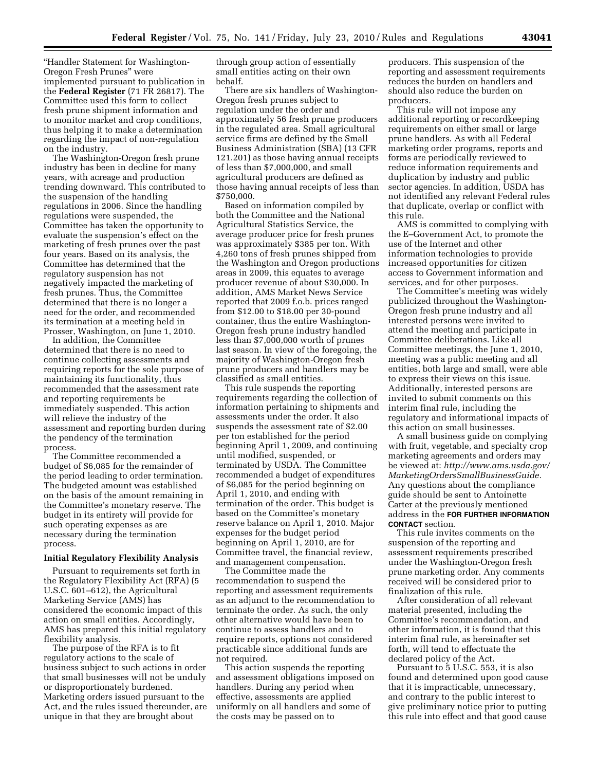''Handler Statement for Washington-Oregon Fresh Prunes'' were implemented pursuant to publication in the **Federal Register** (71 FR 26817). The Committee used this form to collect fresh prune shipment information and to monitor market and crop conditions, thus helping it to make a determination regarding the impact of non-regulation on the industry.

The Washington-Oregon fresh prune industry has been in decline for many years, with acreage and production trending downward. This contributed to the suspension of the handling regulations in 2006. Since the handling regulations were suspended, the Committee has taken the opportunity to evaluate the suspension's effect on the marketing of fresh prunes over the past four years. Based on its analysis, the Committee has determined that the regulatory suspension has not negatively impacted the marketing of fresh prunes. Thus, the Committee determined that there is no longer a need for the order, and recommended its termination at a meeting held in Prosser, Washington, on June 1, 2010.

In addition, the Committee determined that there is no need to continue collecting assessments and requiring reports for the sole purpose of maintaining its functionality, thus recommended that the assessment rate and reporting requirements be immediately suspended. This action will relieve the industry of the assessment and reporting burden during the pendency of the termination process.

The Committee recommended a budget of \$6,085 for the remainder of the period leading to order termination. The budgeted amount was established on the basis of the amount remaining in the Committee's monetary reserve. The budget in its entirety will provide for such operating expenses as are necessary during the termination process.

#### **Initial Regulatory Flexibility Analysis**

Pursuant to requirements set forth in the Regulatory Flexibility Act (RFA) (5 U.S.C. 601–612), the Agricultural Marketing Service (AMS) has considered the economic impact of this action on small entities. Accordingly, AMS has prepared this initial regulatory flexibility analysis.

The purpose of the RFA is to fit regulatory actions to the scale of business subject to such actions in order that small businesses will not be unduly or disproportionately burdened. Marketing orders issued pursuant to the Act, and the rules issued thereunder, are unique in that they are brought about

through group action of essentially small entities acting on their own behalf.

There are six handlers of Washington-Oregon fresh prunes subject to regulation under the order and approximately 56 fresh prune producers in the regulated area. Small agricultural service firms are defined by the Small Business Administration (SBA) (13 CFR 121.201) as those having annual receipts of less than \$7,000,000, and small agricultural producers are defined as those having annual receipts of less than \$750,000.

Based on information compiled by both the Committee and the National Agricultural Statistics Service, the average producer price for fresh prunes was approximately \$385 per ton. With 4,260 tons of fresh prunes shipped from the Washington and Oregon productions areas in 2009, this equates to average producer revenue of about \$30,000. In addition, AMS Market News Service reported that 2009 f.o.b. prices ranged from \$12.00 to \$18.00 per 30-pound container, thus the entire Washington-Oregon fresh prune industry handled less than \$7,000,000 worth of prunes last season. In view of the foregoing, the majority of Washington-Oregon fresh prune producers and handlers may be classified as small entities.

This rule suspends the reporting requirements regarding the collection of information pertaining to shipments and assessments under the order. It also suspends the assessment rate of \$2.00 per ton established for the period beginning April 1, 2009, and continuing until modified, suspended, or terminated by USDA. The Committee recommended a budget of expenditures of \$6,085 for the period beginning on April 1, 2010, and ending with termination of the order. This budget is based on the Committee's monetary reserve balance on April 1, 2010. Major expenses for the budget period beginning on April 1, 2010, are for Committee travel, the financial review, and management compensation.

The Committee made the recommendation to suspend the reporting and assessment requirements as an adjunct to the recommendation to terminate the order. As such, the only other alternative would have been to continue to assess handlers and to require reports, options not considered practicable since additional funds are not required.

This action suspends the reporting and assessment obligations imposed on handlers. During any period when effective, assessments are applied uniformly on all handlers and some of the costs may be passed on to

producers. This suspension of the reporting and assessment requirements reduces the burden on handlers and should also reduce the burden on producers.

This rule will not impose any additional reporting or recordkeeping requirements on either small or large prune handlers. As with all Federal marketing order programs, reports and forms are periodically reviewed to reduce information requirements and duplication by industry and public sector agencies. In addition, USDA has not identified any relevant Federal rules that duplicate, overlap or conflict with this rule.

AMS is committed to complying with the E–Government Act, to promote the use of the Internet and other information technologies to provide increased opportunities for citizen access to Government information and services, and for other purposes.

The Committee's meeting was widely publicized throughout the Washington-Oregon fresh prune industry and all interested persons were invited to attend the meeting and participate in Committee deliberations. Like all Committee meetings, the June 1, 2010, meeting was a public meeting and all entities, both large and small, were able to express their views on this issue. Additionally, interested persons are invited to submit comments on this interim final rule, including the regulatory and informational impacts of this action on small businesses.

A small business guide on complying with fruit, vegetable, and specialty crop marketing agreements and orders may be viewed at: *[http://www.ams.usda.gov/](http://www.ams.usda.gov/MarketingOrdersSmallBusinessGuide) [MarketingOrdersSmallBusinessGuide.](http://www.ams.usda.gov/MarketingOrdersSmallBusinessGuide)*  Any questions about the compliance guide should be sent to Antoinette Carter at the previously mentioned address in the **FOR FURTHER INFORMATION CONTACT** section.

This rule invites comments on the suspension of the reporting and assessment requirements prescribed under the Washington-Oregon fresh prune marketing order. Any comments received will be considered prior to finalization of this rule.

After consideration of all relevant material presented, including the Committee's recommendation, and other information, it is found that this interim final rule, as hereinafter set forth, will tend to effectuate the declared policy of the Act.

Pursuant to 5 U.S.C. 553, it is also found and determined upon good cause that it is impracticable, unnecessary, and contrary to the public interest to give preliminary notice prior to putting this rule into effect and that good cause